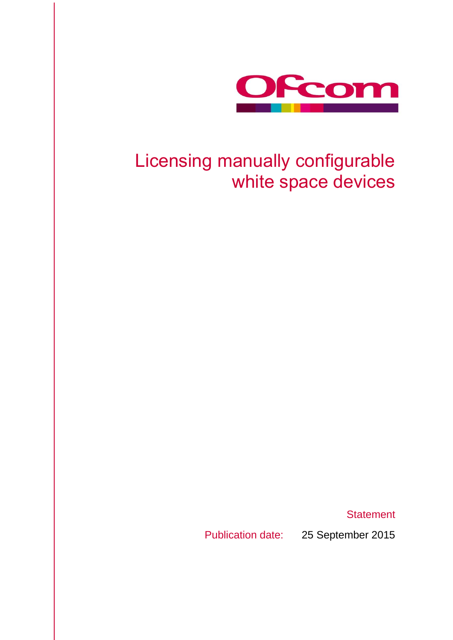

# Licensing manually configurable white space devices

**Statement** 

Publication date: 25 September 2015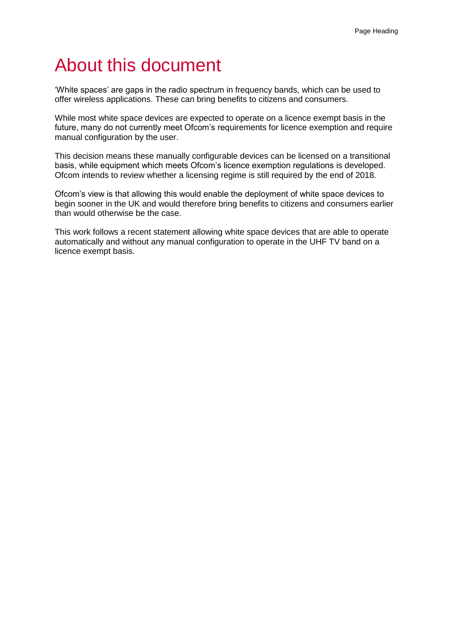# About this document

'White spaces' are gaps in the radio spectrum in frequency bands, which can be used to offer wireless applications. These can bring benefits to citizens and consumers.

While most white space devices are expected to operate on a licence exempt basis in the future, many do not currently meet Ofcom's requirements for licence exemption and require manual configuration by the user.

This decision means these manually configurable devices can be licensed on a transitional basis, while equipment which meets Ofcom's licence exemption regulations is developed. Ofcom intends to review whether a licensing regime is still required by the end of 2018.

Ofcom's view is that allowing this would enable the deployment of white space devices to begin sooner in the UK and would therefore bring benefits to citizens and consumers earlier than would otherwise be the case.

This work follows a recent statement allowing white space devices that are able to operate automatically and without any manual configuration to operate in the UHF TV band on a licence exempt basis.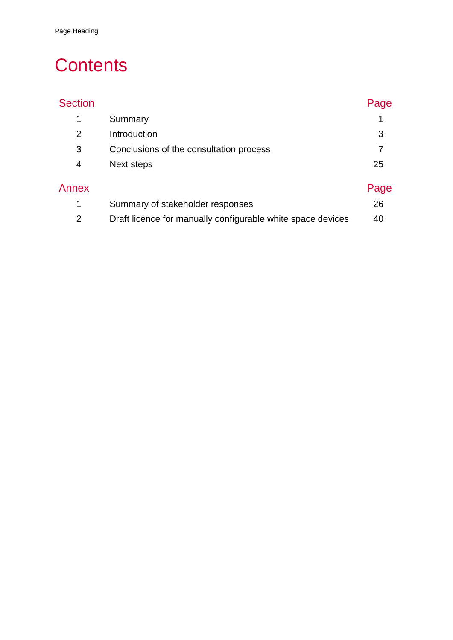# **Contents**

| <b>Section</b> |                                                             | Page |
|----------------|-------------------------------------------------------------|------|
| 1              | Summary                                                     |      |
| 2              | Introduction                                                | 3    |
| 3              | Conclusions of the consultation process                     |      |
| 4              | Next steps                                                  | 25   |
| Annex          |                                                             | Page |
| 1              | Summary of stakeholder responses                            | 26   |
| $\overline{2}$ | Draft licence for manually configurable white space devices | 40   |
|                |                                                             |      |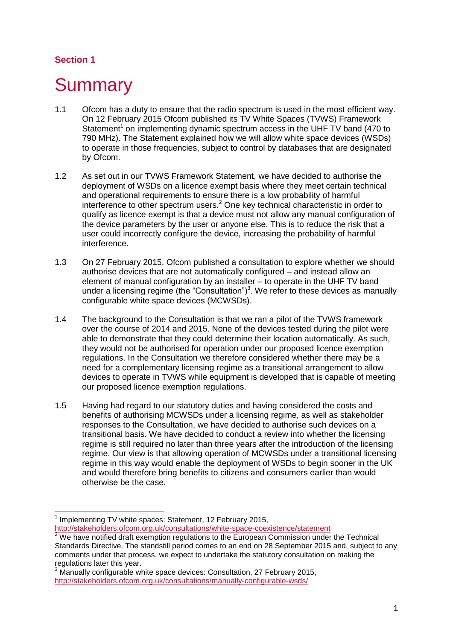### **Section 1**

# <span id="page-3-0"></span>**Summary**

- 1.1 Ofcom has a duty to ensure that the radio spectrum is used in the most efficient way. On 12 February 2015 Ofcom published its TV White Spaces (TVWS) Framework Statement<sup>1</sup> on implementing dynamic spectrum access in the UHF TV band (470 to 790 MHz). The Statement explained how we will allow white space devices (WSDs) to operate in those frequencies, subject to control by databases that are designated by Ofcom.
- 1.2 As set out in our TVWS Framework Statement, we have decided to authorise the deployment of WSDs on a licence exempt basis where they meet certain technical and operational requirements to ensure there is a low probability of harmful interference to other spectrum users.<sup>2</sup> One key technical characteristic in order to qualify as licence exempt is that a device must not allow any manual configuration of the device parameters by the user or anyone else. This is to reduce the risk that a user could incorrectly configure the device, increasing the probability of harmful interference.
- 1.3 On 27 February 2015, Ofcom published a consultation to explore whether we should authorise devices that are not automatically configured – and instead allow an element of manual configuration by an installer – to operate in the UHF TV band under a licensing regime (the "Consultation")<sup>3</sup>. We refer to these devices as manually configurable white space devices (MCWSDs).
- 1.4 The background to the Consultation is that we ran a pilot of the TVWS framework over the course of 2014 and 2015. None of the devices tested during the pilot were able to demonstrate that they could determine their location automatically. As such, they would not be authorised for operation under our proposed licence exemption regulations. In the Consultation we therefore considered whether there may be a need for a complementary licensing regime as a transitional arrangement to allow devices to operate in TVWS while equipment is developed that is capable of meeting our proposed licence exemption regulations.
- 1.5 Having had regard to our statutory duties and having considered the costs and benefits of authorising MCWSDs under a licensing regime, as well as stakeholder responses to the Consultation, we have decided to authorise such devices on a transitional basis. We have decided to conduct a review into whether the licensing regime is still required no later than three years after the introduction of the licensing regime. Our view is that allowing operation of MCWSDs under a transitional licensing regime in this way would enable the deployment of WSDs to begin sooner in the UK and would therefore bring benefits to citizens and consumers earlier than would otherwise be the case.

<sup>-</sup>1 Implementing TV white spaces: Statement, 12 February 2015, <http://stakeholders.ofcom.org.uk/consultations/white-space-coexistence/statement>

 $2$  We have notified draft exemption regulations to the European Commission under the Technical Standards Directive. The standstill period comes to an end on 28 September 2015 and, subject to any comments under that process, we expect to undertake the statutory consultation on making the regulations later this year.

<sup>&</sup>lt;sup>3</sup> Manually configurable white space devices: Consultation, 27 February 2015, <http://stakeholders.ofcom.org.uk/consultations/manually-configurable-wsds/>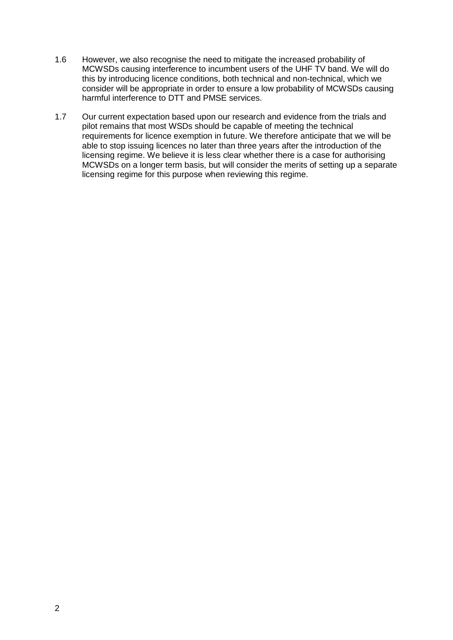- 1.6 However, we also recognise the need to mitigate the increased probability of MCWSDs causing interference to incumbent users of the UHF TV band. We will do this by introducing licence conditions, both technical and non-technical, which we consider will be appropriate in order to ensure a low probability of MCWSDs causing harmful interference to DTT and PMSE services.
- 1.7 Our current expectation based upon our research and evidence from the trials and pilot remains that most WSDs should be capable of meeting the technical requirements for licence exemption in future. We therefore anticipate that we will be able to stop issuing licences no later than three years after the introduction of the licensing regime. We believe it is less clear whether there is a case for authorising MCWSDs on a longer term basis, but will consider the merits of setting up a separate licensing regime for this purpose when reviewing this regime.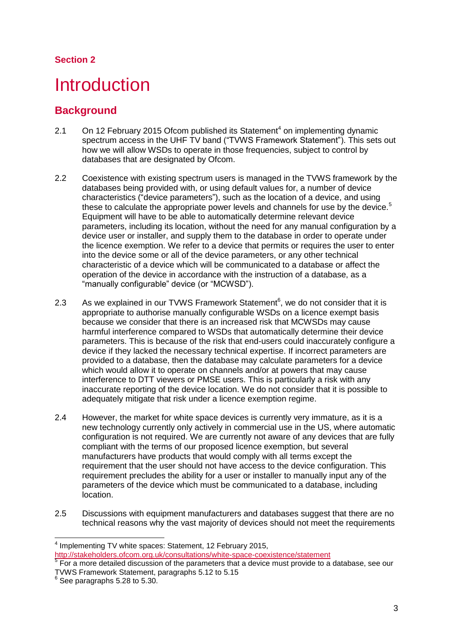### **Section 2**

# <span id="page-5-0"></span>**Introduction**

## **Background**

- 2.1 On 12 February 2015 Ofcom published its Statement<sup>4</sup> on implementing dynamic spectrum access in the UHF TV band ("TVWS Framework Statement"). This sets out how we will allow WSDs to operate in those frequencies, subject to control by databases that are designated by Ofcom.
- 2.2 Coexistence with existing spectrum users is managed in the TVWS framework by the databases being provided with, or using default values for, a number of device characteristics ("device parameters"), such as the location of a device, and using these to calculate the appropriate power levels and channels for use by the device.<sup>5</sup> Equipment will have to be able to automatically determine relevant device parameters, including its location, without the need for any manual configuration by a device user or installer, and supply them to the database in order to operate under the licence exemption. We refer to a device that permits or requires the user to enter into the device some or all of the device parameters, or any other technical characteristic of a device which will be communicated to a database or affect the operation of the device in accordance with the instruction of a database, as a "manually configurable" device (or "MCWSD").
- 2.3 As we explained in our TVWS Framework Statement $6$ , we do not consider that it is appropriate to authorise manually configurable WSDs on a licence exempt basis because we consider that there is an increased risk that MCWSDs may cause harmful interference compared to WSDs that automatically determine their device parameters. This is because of the risk that end-users could inaccurately configure a device if they lacked the necessary technical expertise. If incorrect parameters are provided to a database, then the database may calculate parameters for a device which would allow it to operate on channels and/or at powers that may cause interference to DTT viewers or PMSE users. This is particularly a risk with any inaccurate reporting of the device location. We do not consider that it is possible to adequately mitigate that risk under a licence exemption regime.
- 2.4 However, the market for white space devices is currently very immature, as it is a new technology currently only actively in commercial use in the US, where automatic configuration is not required. We are currently not aware of any devices that are fully compliant with the terms of our proposed licence exemption, but several manufacturers have products that would comply with all terms except the requirement that the user should not have access to the device configuration. This requirement precludes the ability for a user or installer to manually input any of the parameters of the device which must be communicated to a database, including location.
- 2.5 Discussions with equipment manufacturers and databases suggest that there are no technical reasons why the vast majority of devices should not meet the requirements

 4 Implementing TV white spaces: Statement, 12 February 2015, <http://stakeholders.ofcom.org.uk/consultations/white-space-coexistence/statement>

 $5$  For a more detailed discussion of the parameters that a device must provide to a database, see our TVWS Framework Statement, paragraphs 5.12 to 5.15

 $6$  See paragraphs 5.28 to 5.30.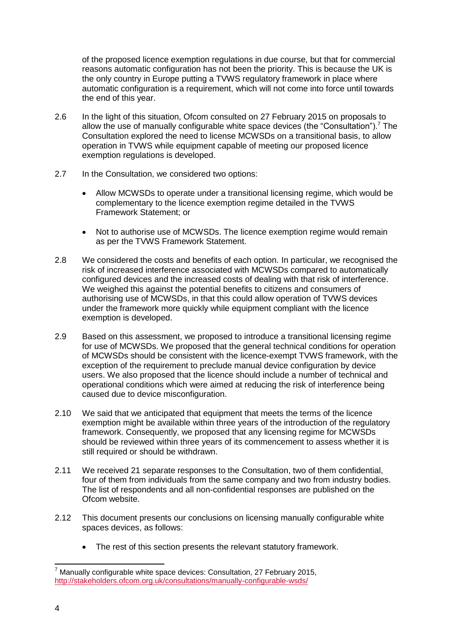of the proposed licence exemption regulations in due course, but that for commercial reasons automatic configuration has not been the priority. This is because the UK is the only country in Europe putting a TVWS regulatory framework in place where automatic configuration is a requirement, which will not come into force until towards the end of this year.

- 2.6 In the light of this situation, Ofcom consulted on 27 February 2015 on proposals to allow the use of manually configurable white space devices (the "Consultation").<sup>7</sup> The Consultation explored the need to license MCWSDs on a transitional basis, to allow operation in TVWS while equipment capable of meeting our proposed licence exemption regulations is developed.
- 2.7 In the Consultation, we considered two options:
	- Allow MCWSDs to operate under a transitional licensing regime, which would be complementary to the licence exemption regime detailed in the TVWS Framework Statement; or
	- Not to authorise use of MCWSDs. The licence exemption regime would remain as per the TVWS Framework Statement.
- 2.8 We considered the costs and benefits of each option. In particular, we recognised the risk of increased interference associated with MCWSDs compared to automatically configured devices and the increased costs of dealing with that risk of interference. We weighed this against the potential benefits to citizens and consumers of authorising use of MCWSDs, in that this could allow operation of TVWS devices under the framework more quickly while equipment compliant with the licence exemption is developed.
- 2.9 Based on this assessment, we proposed to introduce a transitional licensing regime for use of MCWSDs. We proposed that the general technical conditions for operation of MCWSDs should be consistent with the licence-exempt TVWS framework, with the exception of the requirement to preclude manual device configuration by device users. We also proposed that the licence should include a number of technical and operational conditions which were aimed at reducing the risk of interference being caused due to device misconfiguration.
- 2.10 We said that we anticipated that equipment that meets the terms of the licence exemption might be available within three years of the introduction of the regulatory framework. Consequently, we proposed that any licensing regime for MCWSDs should be reviewed within three years of its commencement to assess whether it is still required or should be withdrawn.
- 2.11 We received 21 separate responses to the Consultation, two of them confidential, four of them from individuals from the same company and two from industry bodies. The list of respondents and all non-confidential responses are published on the Ofcom website.
- 2.12 This document presents our conclusions on licensing manually configurable white spaces devices, as follows:
	- The rest of this section presents the relevant statutory framework.

<sup>-</sup> $7$  Manually configurable white space devices: Consultation, 27 February 2015, <http://stakeholders.ofcom.org.uk/consultations/manually-configurable-wsds/>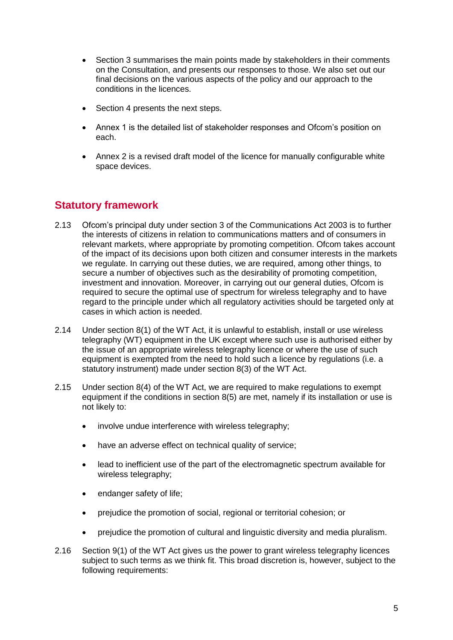- Section 3 summarises the main points made by stakeholders in their comments on the Consultation, and presents our responses to those. We also set out our final decisions on the various aspects of the policy and our approach to the conditions in the licences.
- Section 4 presents the next steps.
- Annex 1 is the detailed list of stakeholder responses and Ofcom's position on each.
- Annex 2 is a revised draft model of the licence for manually configurable white space devices.

# **Statutory framework**

- 2.13 Ofcom's principal duty under section 3 of the Communications Act 2003 is to further the interests of citizens in relation to communications matters and of consumers in relevant markets, where appropriate by promoting competition. Ofcom takes account of the impact of its decisions upon both citizen and consumer interests in the markets we regulate. In carrying out these duties, we are required, among other things, to secure a number of objectives such as the desirability of promoting competition, investment and innovation. Moreover, in carrying out our general duties, Ofcom is required to secure the optimal use of spectrum for wireless telegraphy and to have regard to the principle under which all regulatory activities should be targeted only at cases in which action is needed.
- 2.14 Under section 8(1) of the WT Act, it is unlawful to establish, install or use wireless telegraphy (WT) equipment in the UK except where such use is authorised either by the issue of an appropriate wireless telegraphy licence or where the use of such equipment is exempted from the need to hold such a licence by regulations (i.e. a statutory instrument) made under section 8(3) of the WT Act.
- 2.15 Under section 8(4) of the WT Act, we are required to make regulations to exempt equipment if the conditions in section 8(5) are met, namely if its installation or use is not likely to:
	- involve undue interference with wireless telegraphy;
	- have an adverse effect on technical quality of service;
	- lead to inefficient use of the part of the electromagnetic spectrum available for wireless telegraphy;
	- endanger safety of life;
	- prejudice the promotion of social, regional or territorial cohesion; or
	- prejudice the promotion of cultural and linguistic diversity and media pluralism.
- 2.16 Section 9(1) of the WT Act gives us the power to grant wireless telegraphy licences subject to such terms as we think fit. This broad discretion is, however, subject to the following requirements: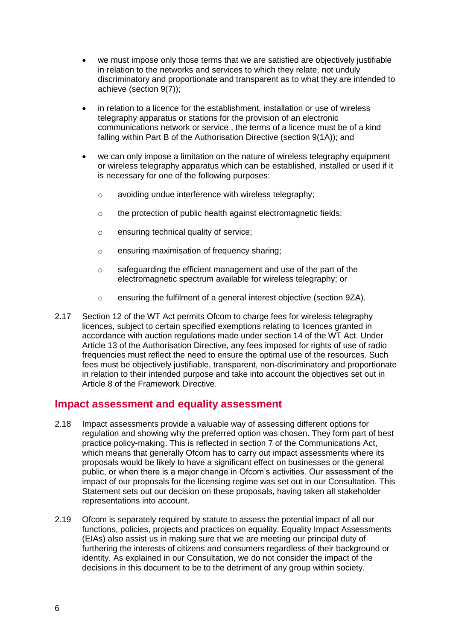- we must impose only those terms that we are satisfied are objectively justifiable in relation to the networks and services to which they relate, not unduly discriminatory and proportionate and transparent as to what they are intended to achieve (section 9(7));
- in relation to a licence for the establishment, installation or use of wireless telegraphy apparatus or stations for the provision of an electronic communications network or service , the terms of a licence must be of a kind falling within Part B of the Authorisation Directive (section 9(1A)); and
- we can only impose a limitation on the nature of wireless telegraphy equipment or wireless telegraphy apparatus which can be established, installed or used if it is necessary for one of the following purposes:
	- o avoiding undue interference with wireless telegraphy;
	- o the protection of public health against electromagnetic fields;
	- o ensuring technical quality of service;
	- o ensuring maximisation of frequency sharing;
	- o safeguarding the efficient management and use of the part of the electromagnetic spectrum available for wireless telegraphy; or
	- o ensuring the fulfilment of a general interest objective (section 9ZA).
- 2.17 Section 12 of the WT Act permits Ofcom to charge fees for wireless telegraphy licences, subject to certain specified exemptions relating to licences granted in accordance with auction regulations made under section 14 of the WT Act. Under Article 13 of the Authorisation Directive, any fees imposed for rights of use of radio frequencies must reflect the need to ensure the optimal use of the resources. Such fees must be objectively justifiable, transparent, non-discriminatory and proportionate in relation to their intended purpose and take into account the objectives set out in Article 8 of the Framework Directive.

#### **Impact assessment and equality assessment**

- 2.18 Impact assessments provide a valuable way of assessing different options for regulation and showing why the preferred option was chosen. They form part of best practice policy-making. This is reflected in section 7 of the Communications Act, which means that generally Ofcom has to carry out impact assessments where its proposals would be likely to have a significant effect on businesses or the general public, or when there is a major change in Ofcom's activities. Our assessment of the impact of our proposals for the licensing regime was set out in our Consultation. This Statement sets out our decision on these proposals, having taken all stakeholder representations into account.
- 2.19 Ofcom is separately required by statute to assess the potential impact of all our functions, policies, projects and practices on equality. Equality Impact Assessments (EIAs) also assist us in making sure that we are meeting our principal duty of furthering the interests of citizens and consumers regardless of their background or identity. As explained in our Consultation, we do not consider the impact of the decisions in this document to be to the detriment of any group within society.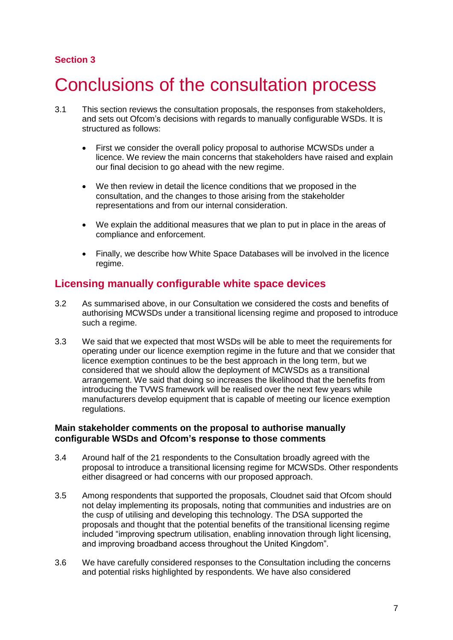### **Section 3**

# <span id="page-9-0"></span>3 Conclusions of the consultation process

- 3.1 This section reviews the consultation proposals, the responses from stakeholders, and sets out Ofcom's decisions with regards to manually configurable WSDs. It is structured as follows:
	- First we consider the overall policy proposal to authorise MCWSDs under a licence. We review the main concerns that stakeholders have raised and explain our final decision to go ahead with the new regime.
	- We then review in detail the licence conditions that we proposed in the consultation, and the changes to those arising from the stakeholder representations and from our internal consideration.
	- We explain the additional measures that we plan to put in place in the areas of compliance and enforcement.
	- Finally, we describe how White Space Databases will be involved in the licence regime.

### **Licensing manually configurable white space devices**

- 3.2 As summarised above, in our Consultation we considered the costs and benefits of authorising MCWSDs under a transitional licensing regime and proposed to introduce such a regime.
- 3.3 We said that we expected that most WSDs will be able to meet the requirements for operating under our licence exemption regime in the future and that we consider that licence exemption continues to be the best approach in the long term, but we considered that we should allow the deployment of MCWSDs as a transitional arrangement. We said that doing so increases the likelihood that the benefits from introducing the TVWS framework will be realised over the next few years while manufacturers develop equipment that is capable of meeting our licence exemption regulations.

#### **Main stakeholder comments on the proposal to authorise manually configurable WSDs and Ofcom's response to those comments**

- 3.4 Around half of the 21 respondents to the Consultation broadly agreed with the proposal to introduce a transitional licensing regime for MCWSDs. Other respondents either disagreed or had concerns with our proposed approach.
- 3.5 Among respondents that supported the proposals, Cloudnet said that Ofcom should not delay implementing its proposals, noting that communities and industries are on the cusp of utilising and developing this technology. The DSA supported the proposals and thought that the potential benefits of the transitional licensing regime included "improving spectrum utilisation, enabling innovation through light licensing, and improving broadband access throughout the United Kingdom".
- 3.6 We have carefully considered responses to the Consultation including the concerns and potential risks highlighted by respondents. We have also considered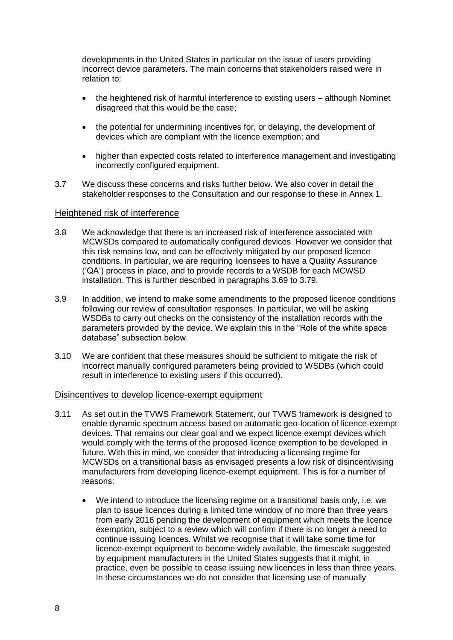developments in the United States in particular on the issue of users providing incorrect device parameters. The main concerns that stakeholders raised were in relation to:

- the heightened risk of harmful interference to existing users although Nominet disagreed that this would be the case;
- the potential for undermining incentives for, or delaying, the development of devices which are compliant with the licence exemption; and
- higher than expected costs related to interference management and investigating incorrectly configured equipment.
- 3.7 We discuss these concerns and risks further below. We also cover in detail the stakeholder responses to the Consultation and our response to these in Annex 1.

#### Heightened risk of interference

- 3.8 We acknowledge that there is an increased risk of interference associated with MCWSDs compared to automatically configured devices. However we consider that this risk remains low, and can be effectively mitigated by our proposed licence conditions. In particular, we are requiring licensees to have a Quality Assurance ('QA') process in place, and to provide records to a WSDB for each MCWSD installation. This is further described in paragraphs 3.69 to 3.79.
- 3.9 In addition, we intend to make some amendments to the proposed licence conditions following our review of consultation responses. In particular, we will be asking WSDBs to carry out checks on the consistency of the installation records with the parameters provided by the device. We explain this in the "Role of the white space database" subsection below.
- 3.10 We are confident that these measures should be sufficient to mitigate the risk of incorrect manually configured parameters being provided to WSDBs (which could result in interference to existing users if this occurred).

#### Disincentives to develop licence-exempt equipment

- 3.11 As set out in the TVWS Framework Statement, our TVWS framework is designed to enable dynamic spectrum access based on automatic geo-location of licence-exempt devices. That remains our clear goal and we expect licence exempt devices which would comply with the terms of the proposed licence exemption to be developed in future. With this in mind, we consider that introducing a licensing regime for MCWSDs on a transitional basis as envisaged presents a low risk of disincentivising manufacturers from developing licence-exempt equipment. This is for a number of reasons:
	- We intend to introduce the licensing regime on a transitional basis only, i.e. we plan to issue licences during a limited time window of no more than three years from early 2016 pending the development of equipment which meets the licence exemption, subject to a review which will confirm if there is no longer a need to continue issuing licences. Whilst we recognise that it will take some time for licence-exempt equipment to become widely available, the timescale suggested by equipment manufacturers in the United States suggests that it might, in practice, even be possible to cease issuing new licences in less than three years. In these circumstances we do not consider that licensing use of manually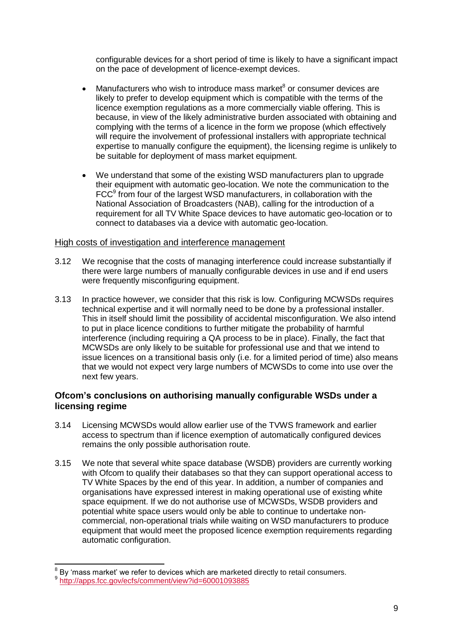configurable devices for a short period of time is likely to have a significant impact on the pace of development of licence-exempt devices.

- Manufacturers who wish to introduce mass market $8$  or consumer devices are likely to prefer to develop equipment which is compatible with the terms of the licence exemption regulations as a more commercially viable offering. This is because, in view of the likely administrative burden associated with obtaining and complying with the terms of a licence in the form we propose (which effectively will require the involvement of professional installers with appropriate technical expertise to manually configure the equipment), the licensing regime is unlikely to be suitable for deployment of mass market equipment.
- We understand that some of the existing WSD manufacturers plan to upgrade their equipment with automatic geo-location. We note the communication to the FCC<sup>9</sup> from four of the largest WSD manufacturers, in collaboration with the National Association of Broadcasters (NAB), calling for the introduction of a requirement for all TV White Space devices to have automatic geo-location or to connect to databases via a device with automatic geo-location.

#### High costs of investigation and interference management

- 3.12 We recognise that the costs of managing interference could increase substantially if there were large numbers of manually configurable devices in use and if end users were frequently misconfiguring equipment.
- 3.13 In practice however, we consider that this risk is low. Configuring MCWSDs requires technical expertise and it will normally need to be done by a professional installer. This in itself should limit the possibility of accidental misconfiguration. We also intend to put in place licence conditions to further mitigate the probability of harmful interference (including requiring a QA process to be in place). Finally, the fact that MCWSDs are only likely to be suitable for professional use and that we intend to issue licences on a transitional basis only (i.e. for a limited period of time) also means that we would not expect very large numbers of MCWSDs to come into use over the next few years.

#### **Ofcom's conclusions on authorising manually configurable WSDs under a licensing regime**

- 3.14 Licensing MCWSDs would allow earlier use of the TVWS framework and earlier access to spectrum than if licence exemption of automatically configured devices remains the only possible authorisation route.
- 3.15 We note that several white space database (WSDB) providers are currently working with Ofcom to qualify their databases so that they can support operational access to TV White Spaces by the end of this year. In addition, a number of companies and organisations have expressed interest in making operational use of existing white space equipment. If we do not authorise use of MCWSDs, WSDB providers and potential white space users would only be able to continue to undertake noncommercial, non-operational trials while waiting on WSD manufacturers to produce equipment that would meet the proposed licence exemption requirements regarding automatic configuration.

 8 By 'mass market' we refer to devices which are marketed directly to retail consumers.

<sup>&</sup>lt;sup>9</sup> <http://apps.fcc.gov/ecfs/comment/view?id=60001093885>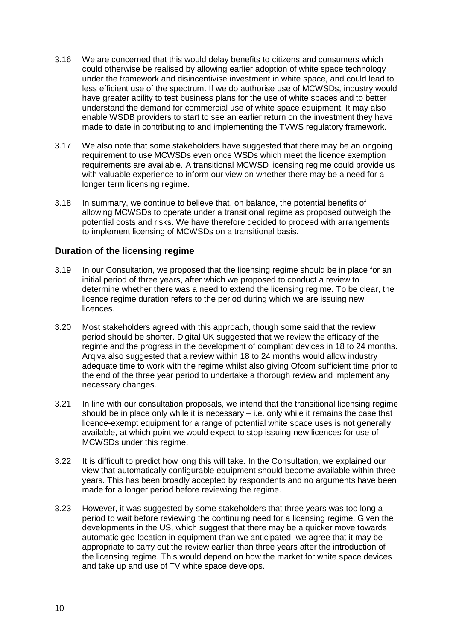- 3.16 We are concerned that this would delay benefits to citizens and consumers which could otherwise be realised by allowing earlier adoption of white space technology under the framework and disincentivise investment in white space, and could lead to less efficient use of the spectrum. If we do authorise use of MCWSDs, industry would have greater ability to test business plans for the use of white spaces and to better understand the demand for commercial use of white space equipment. It may also enable WSDB providers to start to see an earlier return on the investment they have made to date in contributing to and implementing the TVWS regulatory framework.
- 3.17 We also note that some stakeholders have suggested that there may be an ongoing requirement to use MCWSDs even once WSDs which meet the licence exemption requirements are available. A transitional MCWSD licensing regime could provide us with valuable experience to inform our view on whether there may be a need for a longer term licensing regime.
- 3.18 In summary, we continue to believe that, on balance, the potential benefits of allowing MCWSDs to operate under a transitional regime as proposed outweigh the potential costs and risks. We have therefore decided to proceed with arrangements to implement licensing of MCWSDs on a transitional basis.

#### **Duration of the licensing regime**

- 3.19 In our Consultation, we proposed that the licensing regime should be in place for an initial period of three years, after which we proposed to conduct a review to determine whether there was a need to extend the licensing regime. To be clear, the licence regime duration refers to the period during which we are issuing new licences.
- 3.20 Most stakeholders agreed with this approach, though some said that the review period should be shorter. Digital UK suggested that we review the efficacy of the regime and the progress in the development of compliant devices in 18 to 24 months. Arqiva also suggested that a review within 18 to 24 months would allow industry adequate time to work with the regime whilst also giving Ofcom sufficient time prior to the end of the three year period to undertake a thorough review and implement any necessary changes.
- 3.21 In line with our consultation proposals, we intend that the transitional licensing regime should be in place only while it is necessary – i.e. only while it remains the case that licence-exempt equipment for a range of potential white space uses is not generally available, at which point we would expect to stop issuing new licences for use of MCWSDs under this regime.
- 3.22 It is difficult to predict how long this will take. In the Consultation, we explained our view that automatically configurable equipment should become available within three years. This has been broadly accepted by respondents and no arguments have been made for a longer period before reviewing the regime.
- 3.23 However, it was suggested by some stakeholders that three years was too long a period to wait before reviewing the continuing need for a licensing regime. Given the developments in the US, which suggest that there may be a quicker move towards automatic geo-location in equipment than we anticipated, we agree that it may be appropriate to carry out the review earlier than three years after the introduction of the licensing regime. This would depend on how the market for white space devices and take up and use of TV white space develops.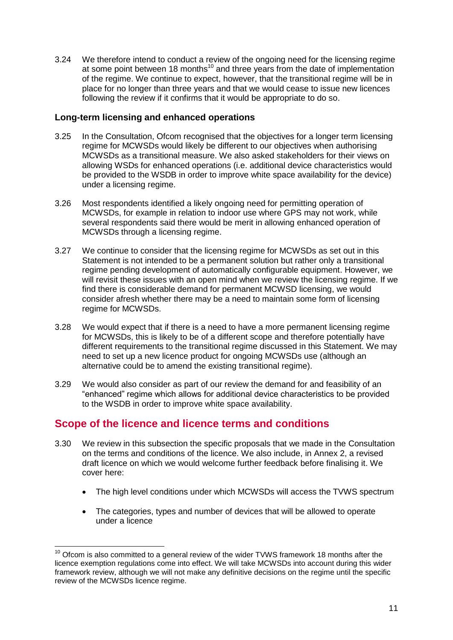3.24 We therefore intend to conduct a review of the ongoing need for the licensing regime at some point between 18 months<sup>10</sup> and three years from the date of implementation of the regime. We continue to expect, however, that the transitional regime will be in place for no longer than three years and that we would cease to issue new licences following the review if it confirms that it would be appropriate to do so.

#### **Long-term licensing and enhanced operations**

- 3.25 In the Consultation, Ofcom recognised that the objectives for a longer term licensing regime for MCWSDs would likely be different to our objectives when authorising MCWSDs as a transitional measure. We also asked stakeholders for their views on allowing WSDs for enhanced operations (i.e. additional device characteristics would be provided to the WSDB in order to improve white space availability for the device) under a licensing regime.
- 3.26 Most respondents identified a likely ongoing need for permitting operation of MCWSDs, for example in relation to indoor use where GPS may not work, while several respondents said there would be merit in allowing enhanced operation of MCWSDs through a licensing regime.
- 3.27 We continue to consider that the licensing regime for MCWSDs as set out in this Statement is not intended to be a permanent solution but rather only a transitional regime pending development of automatically configurable equipment. However, we will revisit these issues with an open mind when we review the licensing regime. If we find there is considerable demand for permanent MCWSD licensing, we would consider afresh whether there may be a need to maintain some form of licensing regime for MCWSDs.
- 3.28 We would expect that if there is a need to have a more permanent licensing regime for MCWSDs, this is likely to be of a different scope and therefore potentially have different requirements to the transitional regime discussed in this Statement. We may need to set up a new licence product for ongoing MCWSDs use (although an alternative could be to amend the existing transitional regime).
- 3.29 We would also consider as part of our review the demand for and feasibility of an "enhanced" regime which allows for additional device characteristics to be provided to the WSDB in order to improve white space availability.

## **Scope of the licence and licence terms and conditions**

- 3.30 We review in this subsection the specific proposals that we made in the Consultation on the terms and conditions of the licence. We also include, in Annex 2, a revised draft licence on which we would welcome further feedback before finalising it. We cover here:
	- The high level conditions under which MCWSDs will access the TVWS spectrum
	- The categories, types and number of devices that will be allowed to operate under a licence

<sup>-</sup> $10$  Ofcom is also committed to a general review of the wider TVWS framework 18 months after the licence exemption regulations come into effect. We will take MCWSDs into account during this wider framework review, although we will not make any definitive decisions on the regime until the specific review of the MCWSDs licence regime.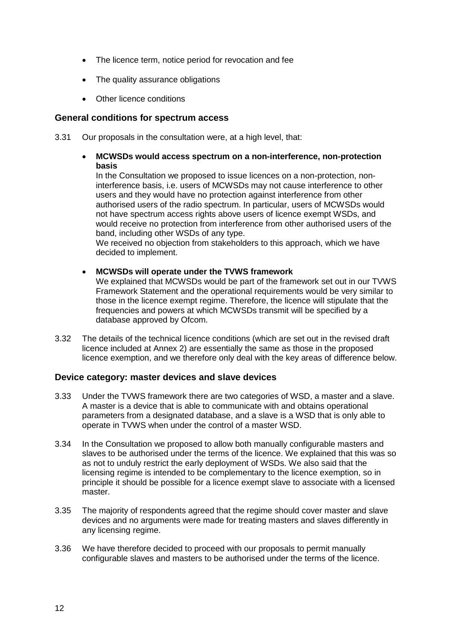- The licence term, notice period for revocation and fee
- The quality assurance obligations
- Other licence conditions

#### **General conditions for spectrum access**

3.31 Our proposals in the consultation were, at a high level, that:

#### **MCWSDs would access spectrum on a non-interference, non-protection basis**

In the Consultation we proposed to issue licences on a non-protection, noninterference basis, i.e. users of MCWSDs may not cause interference to other users and they would have no protection against interference from other authorised users of the radio spectrum. In particular, users of MCWSDs would not have spectrum access rights above users of licence exempt WSDs, and would receive no protection from interference from other authorised users of the band, including other WSDs of any type.

We received no objection from stakeholders to this approach, which we have decided to implement.

**MCWSDs will operate under the TVWS framework**

We explained that MCWSDs would be part of the framework set out in our TVWS Framework Statement and the operational requirements would be very similar to those in the licence exempt regime. Therefore, the licence will stipulate that the frequencies and powers at which MCWSDs transmit will be specified by a database approved by Ofcom.

3.32 The details of the technical licence conditions (which are set out in the revised draft licence included at Annex 2) are essentially the same as those in the proposed licence exemption, and we therefore only deal with the key areas of difference below.

#### **Device category: master devices and slave devices**

- 3.33 Under the TVWS framework there are two categories of WSD, a master and a slave. A master is a device that is able to communicate with and obtains operational parameters from a designated database, and a slave is a WSD that is only able to operate in TVWS when under the control of a master WSD.
- 3.34 In the Consultation we proposed to allow both manually configurable masters and slaves to be authorised under the terms of the licence. We explained that this was so as not to unduly restrict the early deployment of WSDs. We also said that the licensing regime is intended to be complementary to the licence exemption, so in principle it should be possible for a licence exempt slave to associate with a licensed master.
- 3.35 The majority of respondents agreed that the regime should cover master and slave devices and no arguments were made for treating masters and slaves differently in any licensing regime.
- 3.36 We have therefore decided to proceed with our proposals to permit manually configurable slaves and masters to be authorised under the terms of the licence.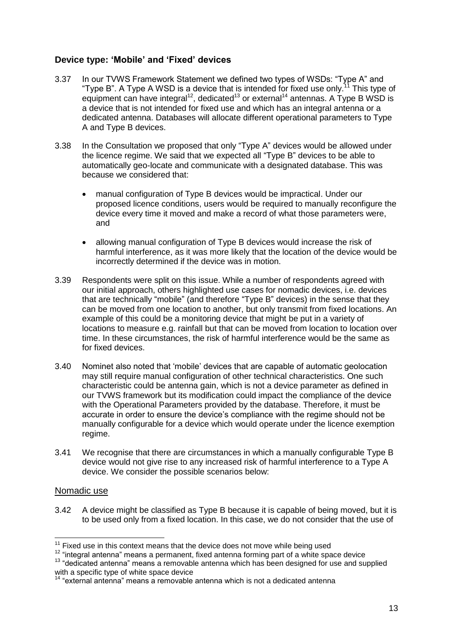#### **Device type: 'Mobile' and 'Fixed' devices**

- 3.37 In our TVWS Framework Statement we defined two types of WSDs: "Type A" and "Type B". A Type A WSD is a device that is intended for fixed use only.<sup>11</sup> This type of equipment can have integral<sup>12</sup>, dedicated<sup>13</sup> or external<sup>14</sup> antennas. A Type B WSD is a device that is not intended for fixed use and which has an integral antenna or a dedicated antenna. Databases will allocate different operational parameters to Type A and Type B devices.
- 3.38 In the Consultation we proposed that only "Type A" devices would be allowed under the licence regime. We said that we expected all "Type B" devices to be able to automatically geo-locate and communicate with a designated database. This was because we considered that:
	- manual configuration of Type B devices would be impractical. Under our proposed licence conditions, users would be required to manually reconfigure the device every time it moved and make a record of what those parameters were, and
	- allowing manual configuration of Type B devices would increase the risk of harmful interference, as it was more likely that the location of the device would be incorrectly determined if the device was in motion.
- 3.39 Respondents were split on this issue. While a number of respondents agreed with our initial approach, others highlighted use cases for nomadic devices, i.e. devices that are technically "mobile" (and therefore "Type B" devices) in the sense that they can be moved from one location to another, but only transmit from fixed locations. An example of this could be a monitoring device that might be put in a variety of locations to measure e.g. rainfall but that can be moved from location to location over time. In these circumstances, the risk of harmful interference would be the same as for fixed devices.
- 3.40 Nominet also noted that 'mobile' devices that are capable of automatic geolocation may still require manual configuration of other technical characteristics. One such characteristic could be antenna gain, which is not a device parameter as defined in our TVWS framework but its modification could impact the compliance of the device with the Operational Parameters provided by the database. Therefore, it must be accurate in order to ensure the device's compliance with the regime should not be manually configurable for a device which would operate under the licence exemption regime.
- 3.41 We recognise that there are circumstances in which a manually configurable Type B device would not give rise to any increased risk of harmful interference to a Type A device. We consider the possible scenarios below:

#### Nomadic use

3.42 A device might be classified as Type B because it is capable of being moved, but it is to be used only from a fixed location. In this case, we do not consider that the use of

<sup>-</sup> $11$  Fixed use in this context means that the device does not move while being used

<sup>12</sup> "integral antenna" means a permanent, fixed antenna forming part of a white space device

<sup>&</sup>lt;sup>13</sup> "dedicated antenna" means a removable antenna which has been designed for use and supplied with a specific type of white space device

<sup>14 &</sup>quot;external antenna" means a removable antenna which is not a dedicated antenna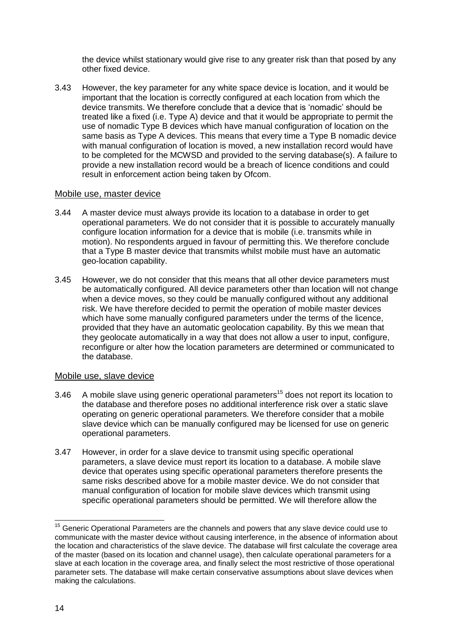the device whilst stationary would give rise to any greater risk than that posed by any other fixed device.

3.43 However, the key parameter for any white space device is location, and it would be important that the location is correctly configured at each location from which the device transmits. We therefore conclude that a device that is 'nomadic' should be treated like a fixed (i.e. Type A) device and that it would be appropriate to permit the use of nomadic Type B devices which have manual configuration of location on the same basis as Type A devices. This means that every time a Type B nomadic device with manual configuration of location is moved, a new installation record would have to be completed for the MCWSD and provided to the serving database(s). A failure to provide a new installation record would be a breach of licence conditions and could result in enforcement action being taken by Ofcom.

#### Mobile use, master device

- 3.44 A master device must always provide its location to a database in order to get operational parameters. We do not consider that it is possible to accurately manually configure location information for a device that is mobile (i.e. transmits while in motion). No respondents argued in favour of permitting this. We therefore conclude that a Type B master device that transmits whilst mobile must have an automatic geo-location capability.
- 3.45 However, we do not consider that this means that all other device parameters must be automatically configured. All device parameters other than location will not change when a device moves, so they could be manually configured without any additional risk. We have therefore decided to permit the operation of mobile master devices which have some manually configured parameters under the terms of the licence, provided that they have an automatic geolocation capability. By this we mean that they geolocate automatically in a way that does not allow a user to input, configure, reconfigure or alter how the location parameters are determined or communicated to the database.

#### Mobile use, slave device

- 3.46 A mobile slave using generic operational parameters<sup>15</sup> does not report its location to the database and therefore poses no additional interference risk over a static slave operating on generic operational parameters. We therefore consider that a mobile slave device which can be manually configured may be licensed for use on generic operational parameters.
- 3.47 However, in order for a slave device to transmit using specific operational parameters, a slave device must report its location to a database. A mobile slave device that operates using specific operational parameters therefore presents the same risks described above for a mobile master device. We do not consider that manual configuration of location for mobile slave devices which transmit using specific operational parameters should be permitted. We will therefore allow the

-

 $15$  Generic Operational Parameters are the channels and powers that any slave device could use to communicate with the master device without causing interference, in the absence of information about the location and characteristics of the slave device. The database will first calculate the coverage area of the master (based on its location and channel usage), then calculate operational parameters for a slave at each location in the coverage area, and finally select the most restrictive of those operational parameter sets. The database will make certain conservative assumptions about slave devices when making the calculations.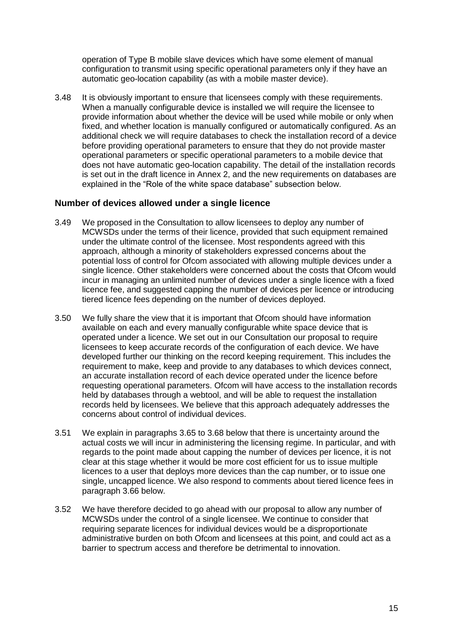operation of Type B mobile slave devices which have some element of manual configuration to transmit using specific operational parameters only if they have an automatic geo-location capability (as with a mobile master device).

3.48 It is obviously important to ensure that licensees comply with these requirements. When a manually configurable device is installed we will require the licensee to provide information about whether the device will be used while mobile or only when fixed, and whether location is manually configured or automatically configured. As an additional check we will require databases to check the installation record of a device before providing operational parameters to ensure that they do not provide master operational parameters or specific operational parameters to a mobile device that does not have automatic geo-location capability. The detail of the installation records is set out in the draft licence in Annex 2, and the new requirements on databases are explained in the "Role of the white space database" subsection below.

#### **Number of devices allowed under a single licence**

- 3.49 We proposed in the Consultation to allow licensees to deploy any number of MCWSDs under the terms of their licence, provided that such equipment remained under the ultimate control of the licensee. Most respondents agreed with this approach, although a minority of stakeholders expressed concerns about the potential loss of control for Ofcom associated with allowing multiple devices under a single licence. Other stakeholders were concerned about the costs that Ofcom would incur in managing an unlimited number of devices under a single licence with a fixed licence fee, and suggested capping the number of devices per licence or introducing tiered licence fees depending on the number of devices deployed.
- 3.50 We fully share the view that it is important that Ofcom should have information available on each and every manually configurable white space device that is operated under a licence. We set out in our Consultation our proposal to require licensees to keep accurate records of the configuration of each device. We have developed further our thinking on the record keeping requirement. This includes the requirement to make, keep and provide to any databases to which devices connect, an accurate installation record of each device operated under the licence before requesting operational parameters. Ofcom will have access to the installation records held by databases through a webtool, and will be able to request the installation records held by licensees. We believe that this approach adequately addresses the concerns about control of individual devices.
- 3.51 We explain in paragraphs 3.65 to 3.68 below that there is uncertainty around the actual costs we will incur in administering the licensing regime. In particular, and with regards to the point made about capping the number of devices per licence, it is not clear at this stage whether it would be more cost efficient for us to issue multiple licences to a user that deploys more devices than the cap number, or to issue one single, uncapped licence. We also respond to comments about tiered licence fees in paragraph 3.66 below.
- 3.52 We have therefore decided to go ahead with our proposal to allow any number of MCWSDs under the control of a single licensee. We continue to consider that requiring separate licences for individual devices would be a disproportionate administrative burden on both Ofcom and licensees at this point, and could act as a barrier to spectrum access and therefore be detrimental to innovation.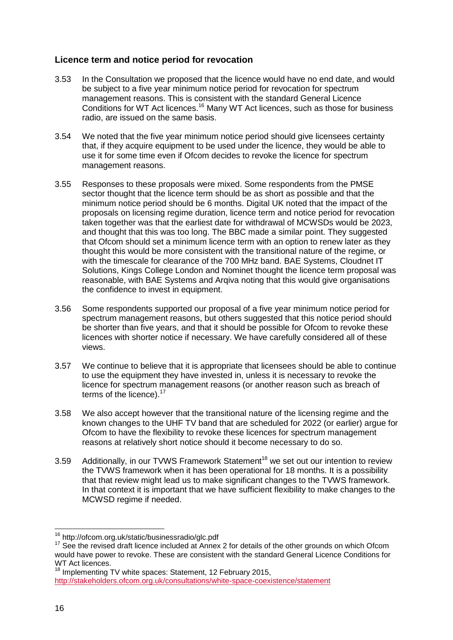#### **Licence term and notice period for revocation**

- 3.53 In the Consultation we proposed that the licence would have no end date, and would be subject to a five year minimum notice period for revocation for spectrum management reasons. This is consistent with the standard General Licence Conditions for WT Act licences.<sup>16</sup> Many WT Act licences, such as those for business radio, are issued on the same basis.
- 3.54 We noted that the five year minimum notice period should give licensees certainty that, if they acquire equipment to be used under the licence, they would be able to use it for some time even if Ofcom decides to revoke the licence for spectrum management reasons.
- 3.55 Responses to these proposals were mixed. Some respondents from the PMSE sector thought that the licence term should be as short as possible and that the minimum notice period should be 6 months. Digital UK noted that the impact of the proposals on licensing regime duration, licence term and notice period for revocation taken together was that the earliest date for withdrawal of MCWSDs would be 2023, and thought that this was too long. The BBC made a similar point. They suggested that Ofcom should set a minimum licence term with an option to renew later as they thought this would be more consistent with the transitional nature of the regime, or with the timescale for clearance of the 700 MHz band. BAE Systems, Cloudnet IT Solutions, Kings College London and Nominet thought the licence term proposal was reasonable, with BAE Systems and Arqiva noting that this would give organisations the confidence to invest in equipment.
- 3.56 Some respondents supported our proposal of a five year minimum notice period for spectrum management reasons, but others suggested that this notice period should be shorter than five years, and that it should be possible for Ofcom to revoke these licences with shorter notice if necessary. We have carefully considered all of these views.
- 3.57 We continue to believe that it is appropriate that licensees should be able to continue to use the equipment they have invested in, unless it is necessary to revoke the licence for spectrum management reasons (or another reason such as breach of terms of the licence).<sup>17</sup>
- 3.58 We also accept however that the transitional nature of the licensing regime and the known changes to the UHF TV band that are scheduled for 2022 (or earlier) argue for Ofcom to have the flexibility to revoke these licences for spectrum management reasons at relatively short notice should it become necessary to do so.
- 3.59 Additionally, in our TVWS Framework Statement<sup>18</sup> we set out our intention to review the TVWS framework when it has been operational for 18 months. It is a possibility that that review might lead us to make significant changes to the TVWS framework. In that context it is important that we have sufficient flexibility to make changes to the MCWSD regime if needed.

 $\overline{1}$ <sup>16</sup> http://ofcom.org.uk/static/businessradio/glc.pdf

<sup>&</sup>lt;sup>17</sup> See the revised draft licence included at Annex 2 for details of the other grounds on which Ofcom would have power to revoke. These are consistent with the standard General Licence Conditions for WT Act licences.

<sup>&</sup>lt;sup>18</sup> Implementing TV white spaces: Statement, 12 February 2015, <http://stakeholders.ofcom.org.uk/consultations/white-space-coexistence/statement>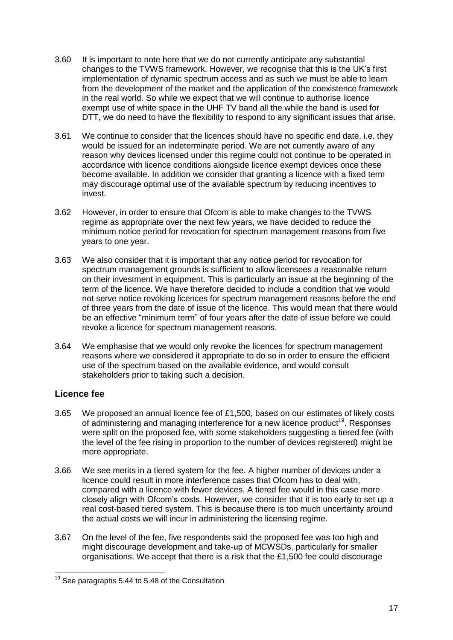- 3.60 It is important to note here that we do not currently anticipate any substantial changes to the TVWS framework. However, we recognise that this is the UK's first implementation of dynamic spectrum access and as such we must be able to learn from the development of the market and the application of the coexistence framework in the real world. So while we expect that we will continue to authorise licence exempt use of white space in the UHF TV band all the while the band is used for DTT, we do need to have the flexibility to respond to any significant issues that arise.
- 3.61 We continue to consider that the licences should have no specific end date, i.e. they would be issued for an indeterminate period. We are not currently aware of any reason why devices licensed under this regime could not continue to be operated in accordance with licence conditions alongside licence exempt devices once these become available. In addition we consider that granting a licence with a fixed term may discourage optimal use of the available spectrum by reducing incentives to invest.
- 3.62 However, in order to ensure that Ofcom is able to make changes to the TVWS regime as appropriate over the next few years, we have decided to reduce the minimum notice period for revocation for spectrum management reasons from five years to one year.
- 3.63 We also consider that it is important that any notice period for revocation for spectrum management grounds is sufficient to allow licensees a reasonable return on their investment in equipment. This is particularly an issue at the beginning of the term of the licence. We have therefore decided to include a condition that we would not serve notice revoking licences for spectrum management reasons before the end of three years from the date of issue of the licence. This would mean that there would be an effective "minimum term" of four years after the date of issue before we could revoke a licence for spectrum management reasons.
- 3.64 We emphasise that we would only revoke the licences for spectrum management reasons where we considered it appropriate to do so in order to ensure the efficient use of the spectrum based on the available evidence, and would consult stakeholders prior to taking such a decision.

### **Licence fee**

- 3.65 We proposed an annual licence fee of £1,500, based on our estimates of likely costs of administering and managing interference for a new licence product<sup>19</sup>. Responses were split on the proposed fee, with some stakeholders suggesting a tiered fee (with the level of the fee rising in proportion to the number of devices registered) might be more appropriate.
- 3.66 We see merits in a tiered system for the fee. A higher number of devices under a licence could result in more interference cases that Ofcom has to deal with, compared with a licence with fewer devices. A tiered fee would in this case more closely align with Ofcom's costs. However, we consider that it is too early to set up a real cost-based tiered system. This is because there is too much uncertainty around the actual costs we will incur in administering the licensing regime.
- 3.67 On the level of the fee, five respondents said the proposed fee was too high and might discourage development and take-up of MCWSDs, particularly for smaller organisations. We accept that there is a risk that the £1,500 fee could discourage

<sup>-</sup><sup>19</sup> See paragraphs 5.44 to 5.48 of the Consultation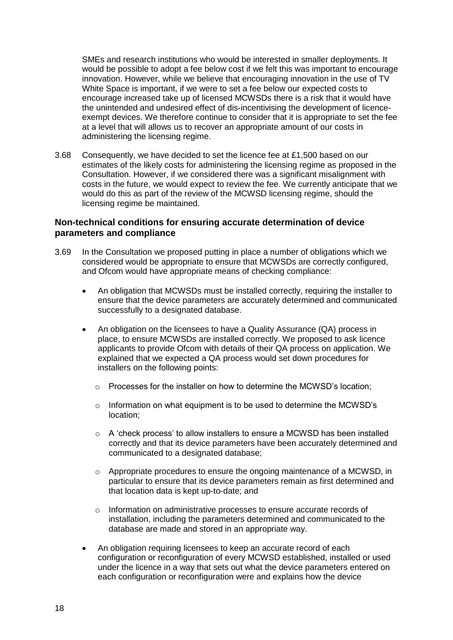SMEs and research institutions who would be interested in smaller deployments. It would be possible to adopt a fee below cost if we felt this was important to encourage innovation. However, while we believe that encouraging innovation in the use of TV White Space is important, if we were to set a fee below our expected costs to encourage increased take up of licensed MCWSDs there is a risk that it would have the unintended and undesired effect of dis-incentivising the development of licenceexempt devices. We therefore continue to consider that it is appropriate to set the fee at a level that will allows us to recover an appropriate amount of our costs in administering the licensing regime.

3.68 Consequently, we have decided to set the licence fee at £1,500 based on our estimates of the likely costs for administering the licensing regime as proposed in the Consultation. However, if we considered there was a significant misalignment with costs in the future, we would expect to review the fee. We currently anticipate that we would do this as part of the review of the MCWSD licensing regime, should the licensing regime be maintained.

#### **Non-technical conditions for ensuring accurate determination of device parameters and compliance**

- 3.69 In the Consultation we proposed putting in place a number of obligations which we considered would be appropriate to ensure that MCWSDs are correctly configured, and Ofcom would have appropriate means of checking compliance:
	- An obligation that MCWSDs must be installed correctly, requiring the installer to ensure that the device parameters are accurately determined and communicated successfully to a designated database.
	- An obligation on the licensees to have a Quality Assurance (QA) process in place, to ensure MCWSDs are installed correctly. We proposed to ask licence applicants to provide Ofcom with details of their QA process on application. We explained that we expected a QA process would set down procedures for installers on the following points:
		- $\circ$  Processes for the installer on how to determine the MCWSD's location:
		- o Information on what equipment is to be used to determine the MCWSD's location;
		- o A 'check process' to allow installers to ensure a MCWSD has been installed correctly and that its device parameters have been accurately determined and communicated to a designated database;
		- $\circ$  Appropriate procedures to ensure the ongoing maintenance of a MCWSD, in particular to ensure that its device parameters remain as first determined and that location data is kept up-to-date; and
		- $\circ$  Information on administrative processes to ensure accurate records of installation, including the parameters determined and communicated to the database are made and stored in an appropriate way.
	- An obligation requiring licensees to keep an accurate record of each configuration or reconfiguration of every MCWSD established, installed or used under the licence in a way that sets out what the device parameters entered on each configuration or reconfiguration were and explains how the device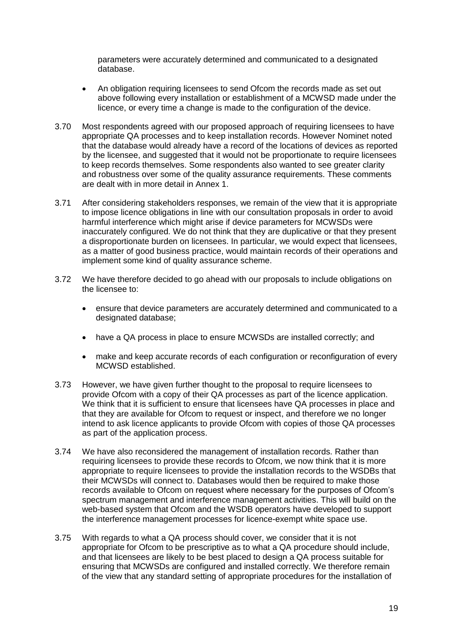parameters were accurately determined and communicated to a designated database.

- An obligation requiring licensees to send Ofcom the records made as set out above following every installation or establishment of a MCWSD made under the licence, or every time a change is made to the configuration of the device.
- 3.70 Most respondents agreed with our proposed approach of requiring licensees to have appropriate QA processes and to keep installation records. However Nominet noted that the database would already have a record of the locations of devices as reported by the licensee, and suggested that it would not be proportionate to require licensees to keep records themselves. Some respondents also wanted to see greater clarity and robustness over some of the quality assurance requirements. These comments are dealt with in more detail in Annex 1.
- 3.71 After considering stakeholders responses, we remain of the view that it is appropriate to impose licence obligations in line with our consultation proposals in order to avoid harmful interference which might arise if device parameters for MCWSDs were inaccurately configured. We do not think that they are duplicative or that they present a disproportionate burden on licensees. In particular, we would expect that licensees, as a matter of good business practice, would maintain records of their operations and implement some kind of quality assurance scheme.
- 3.72 We have therefore decided to go ahead with our proposals to include obligations on the licensee to:
	- ensure that device parameters are accurately determined and communicated to a designated database;
	- have a QA process in place to ensure MCWSDs are installed correctly; and
	- make and keep accurate records of each configuration or reconfiguration of every MCWSD established.
- 3.73 However, we have given further thought to the proposal to require licensees to provide Ofcom with a copy of their QA processes as part of the licence application. We think that it is sufficient to ensure that licensees have QA processes in place and that they are available for Ofcom to request or inspect, and therefore we no longer intend to ask licence applicants to provide Ofcom with copies of those QA processes as part of the application process.
- 3.74 We have also reconsidered the management of installation records. Rather than requiring licensees to provide these records to Ofcom, we now think that it is more appropriate to require licensees to provide the installation records to the WSDBs that their MCWSDs will connect to. Databases would then be required to make those records available to Ofcom on request where necessary for the purposes of Ofcom's spectrum management and interference management activities. This will build on the web-based system that Ofcom and the WSDB operators have developed to support the interference management processes for licence-exempt white space use.
- 3.75 With regards to what a QA process should cover, we consider that it is not appropriate for Ofcom to be prescriptive as to what a QA procedure should include, and that licensees are likely to be best placed to design a QA process suitable for ensuring that MCWSDs are configured and installed correctly. We therefore remain of the view that any standard setting of appropriate procedures for the installation of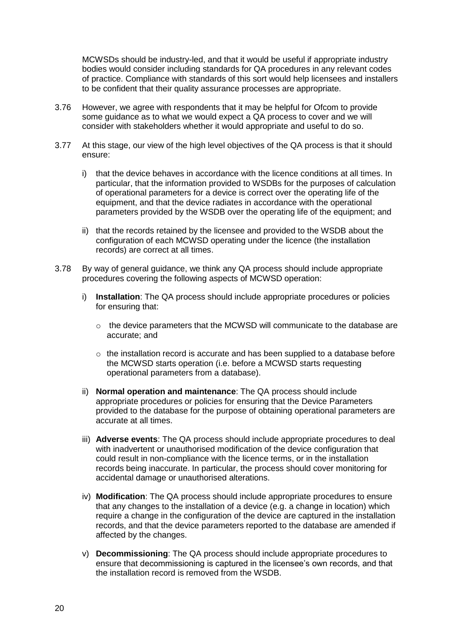MCWSDs should be industry-led, and that it would be useful if appropriate industry bodies would consider including standards for QA procedures in any relevant codes of practice. Compliance with standards of this sort would help licensees and installers to be confident that their quality assurance processes are appropriate.

- 3.76 However, we agree with respondents that it may be helpful for Ofcom to provide some guidance as to what we would expect a QA process to cover and we will consider with stakeholders whether it would appropriate and useful to do so.
- 3.77 At this stage, our view of the high level objectives of the QA process is that it should ensure:
	- i) that the device behaves in accordance with the licence conditions at all times. In particular, that the information provided to WSDBs for the purposes of calculation of operational parameters for a device is correct over the operating life of the equipment, and that the device radiates in accordance with the operational parameters provided by the WSDB over the operating life of the equipment; and
	- ii) that the records retained by the licensee and provided to the WSDB about the configuration of each MCWSD operating under the licence (the installation records) are correct at all times.
- 3.78 By way of general guidance, we think any QA process should include appropriate procedures covering the following aspects of MCWSD operation:
	- i) **Installation**: The QA process should include appropriate procedures or policies for ensuring that:
		- $\circ$  the device parameters that the MCWSD will communicate to the database are accurate; and
		- $\circ$  the installation record is accurate and has been supplied to a database before the MCWSD starts operation (i.e. before a MCWSD starts requesting operational parameters from a database).
	- ii) **Normal operation and maintenance**: The QA process should include appropriate procedures or policies for ensuring that the Device Parameters provided to the database for the purpose of obtaining operational parameters are accurate at all times.
	- iii) **Adverse events**: The QA process should include appropriate procedures to deal with inadvertent or unauthorised modification of the device configuration that could result in non-compliance with the licence terms, or in the installation records being inaccurate. In particular, the process should cover monitoring for accidental damage or unauthorised alterations.
	- iv) **Modification**: The QA process should include appropriate procedures to ensure that any changes to the installation of a device (e.g. a change in location) which require a change in the configuration of the device are captured in the installation records, and that the device parameters reported to the database are amended if affected by the changes.
	- v) **Decommissioning**: The QA process should include appropriate procedures to ensure that decommissioning is captured in the licensee's own records, and that the installation record is removed from the WSDB.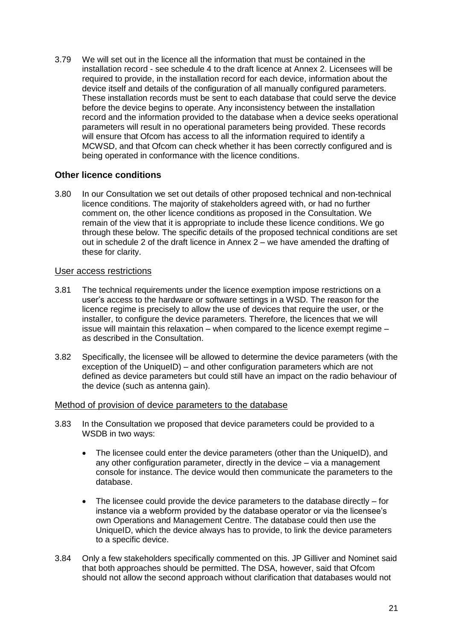3.79 We will set out in the licence all the information that must be contained in the installation record - see schedule 4 to the draft licence at Annex 2. Licensees will be required to provide, in the installation record for each device, information about the device itself and details of the configuration of all manually configured parameters. These installation records must be sent to each database that could serve the device before the device begins to operate. Any inconsistency between the installation record and the information provided to the database when a device seeks operational parameters will result in no operational parameters being provided. These records will ensure that Ofcom has access to all the information required to identify a MCWSD, and that Ofcom can check whether it has been correctly configured and is being operated in conformance with the licence conditions.

#### **Other licence conditions**

3.80 In our Consultation we set out details of other proposed technical and non-technical licence conditions. The majority of stakeholders agreed with, or had no further comment on, the other licence conditions as proposed in the Consultation. We remain of the view that it is appropriate to include these licence conditions. We go through these below. The specific details of the proposed technical conditions are set out in schedule 2 of the draft licence in Annex  $2 -$  we have amended the drafting of these for clarity.

#### User access restrictions

- 3.81 The technical requirements under the licence exemption impose restrictions on a user's access to the hardware or software settings in a WSD. The reason for the licence regime is precisely to allow the use of devices that require the user, or the installer, to configure the device parameters. Therefore, the licences that we will issue will maintain this relaxation  $-$  when compared to the licence exempt regime  $$ as described in the Consultation.
- 3.82 Specifically, the licensee will be allowed to determine the device parameters (with the exception of the UniqueID) – and other configuration parameters which are not defined as device parameters but could still have an impact on the radio behaviour of the device (such as antenna gain).

#### Method of provision of device parameters to the database

- 3.83 In the Consultation we proposed that device parameters could be provided to a WSDB in two ways:
	- The licensee could enter the device parameters (other than the UniqueID), and any other configuration parameter, directly in the device – via a management console for instance. The device would then communicate the parameters to the database.
	- $\bullet$  The licensee could provide the device parameters to the database directly  $-$  for instance via a webform provided by the database operator or via the licensee's own Operations and Management Centre. The database could then use the UniqueID, which the device always has to provide, to link the device parameters to a specific device.
- 3.84 Only a few stakeholders specifically commented on this. JP Gilliver and Nominet said that both approaches should be permitted. The DSA, however, said that Ofcom should not allow the second approach without clarification that databases would not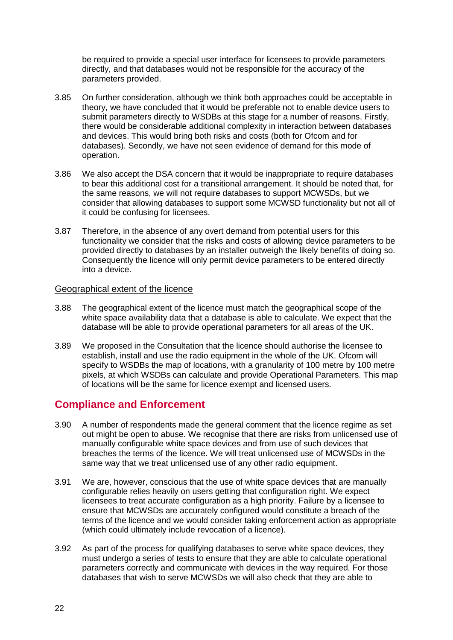be required to provide a special user interface for licensees to provide parameters directly, and that databases would not be responsible for the accuracy of the parameters provided.

- 3.85 On further consideration, although we think both approaches could be acceptable in theory, we have concluded that it would be preferable not to enable device users to submit parameters directly to WSDBs at this stage for a number of reasons. Firstly, there would be considerable additional complexity in interaction between databases and devices. This would bring both risks and costs (both for Ofcom and for databases). Secondly, we have not seen evidence of demand for this mode of operation.
- 3.86 We also accept the DSA concern that it would be inappropriate to require databases to bear this additional cost for a transitional arrangement. It should be noted that, for the same reasons, we will not require databases to support MCWSDs, but we consider that allowing databases to support some MCWSD functionality but not all of it could be confusing for licensees.
- 3.87 Therefore, in the absence of any overt demand from potential users for this functionality we consider that the risks and costs of allowing device parameters to be provided directly to databases by an installer outweigh the likely benefits of doing so. Consequently the licence will only permit device parameters to be entered directly into a device.

#### Geographical extent of the licence

- 3.88 The geographical extent of the licence must match the geographical scope of the white space availability data that a database is able to calculate. We expect that the database will be able to provide operational parameters for all areas of the UK.
- 3.89 We proposed in the Consultation that the licence should authorise the licensee to establish, install and use the radio equipment in the whole of the UK. Ofcom will specify to WSDBs the map of locations, with a granularity of 100 metre by 100 metre pixels, at which WSDBs can calculate and provide Operational Parameters. This map of locations will be the same for licence exempt and licensed users.

### **Compliance and Enforcement**

- 3.90 A number of respondents made the general comment that the licence regime as set out might be open to abuse. We recognise that there are risks from unlicensed use of manually configurable white space devices and from use of such devices that breaches the terms of the licence. We will treat unlicensed use of MCWSDs in the same way that we treat unlicensed use of any other radio equipment.
- 3.91 We are, however, conscious that the use of white space devices that are manually configurable relies heavily on users getting that configuration right. We expect licensees to treat accurate configuration as a high priority. Failure by a licensee to ensure that MCWSDs are accurately configured would constitute a breach of the terms of the licence and we would consider taking enforcement action as appropriate (which could ultimately include revocation of a licence).
- 3.92 As part of the process for qualifying databases to serve white space devices, they must undergo a series of tests to ensure that they are able to calculate operational parameters correctly and communicate with devices in the way required. For those databases that wish to serve MCWSDs we will also check that they are able to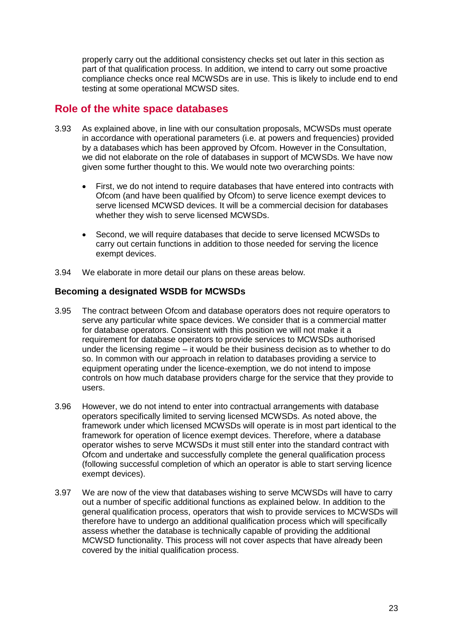properly carry out the additional consistency checks set out later in this section as part of that qualification process. In addition, we intend to carry out some proactive compliance checks once real MCWSDs are in use. This is likely to include end to end testing at some operational MCWSD sites.

### **Role of the white space databases**

- 3.93 As explained above, in line with our consultation proposals, MCWSDs must operate in accordance with operational parameters (i.e. at powers and frequencies) provided by a databases which has been approved by Ofcom. However in the Consultation, we did not elaborate on the role of databases in support of MCWSDs. We have now given some further thought to this. We would note two overarching points:
	- First, we do not intend to require databases that have entered into contracts with Ofcom (and have been qualified by Ofcom) to serve licence exempt devices to serve licensed MCWSD devices. It will be a commercial decision for databases whether they wish to serve licensed MCWSDs.
	- Second, we will require databases that decide to serve licensed MCWSDs to carry out certain functions in addition to those needed for serving the licence exempt devices.
- 3.94 We elaborate in more detail our plans on these areas below.

#### **Becoming a designated WSDB for MCWSDs**

- 3.95 The contract between Ofcom and database operators does not require operators to serve any particular white space devices. We consider that is a commercial matter for database operators. Consistent with this position we will not make it a requirement for database operators to provide services to MCWSDs authorised under the licensing regime – it would be their business decision as to whether to do so. In common with our approach in relation to databases providing a service to equipment operating under the licence-exemption, we do not intend to impose controls on how much database providers charge for the service that they provide to users.
- 3.96 However, we do not intend to enter into contractual arrangements with database operators specifically limited to serving licensed MCWSDs. As noted above, the framework under which licensed MCWSDs will operate is in most part identical to the framework for operation of licence exempt devices. Therefore, where a database operator wishes to serve MCWSDs it must still enter into the standard contract with Ofcom and undertake and successfully complete the general qualification process (following successful completion of which an operator is able to start serving licence exempt devices).
- 3.97 We are now of the view that databases wishing to serve MCWSDs will have to carry out a number of specific additional functions as explained below. In addition to the general qualification process, operators that wish to provide services to MCWSDs will therefore have to undergo an additional qualification process which will specifically assess whether the database is technically capable of providing the additional MCWSD functionality. This process will not cover aspects that have already been covered by the initial qualification process.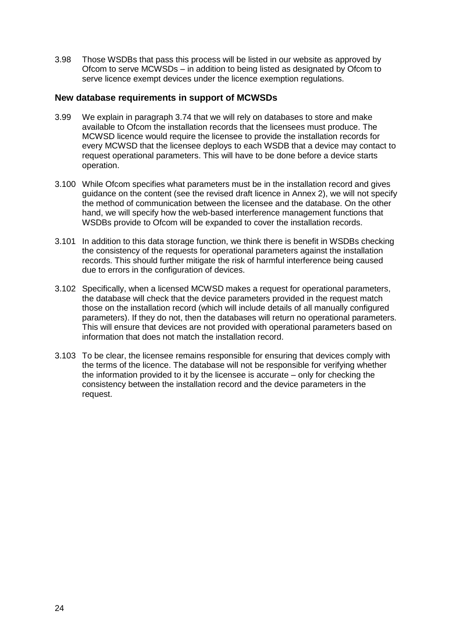3.98 Those WSDBs that pass this process will be listed in our website as approved by Ofcom to serve MCWSDs – in addition to being listed as designated by Ofcom to serve licence exempt devices under the licence exemption regulations.

#### **New database requirements in support of MCWSDs**

- 3.99 We explain in paragraph 3.74 that we will rely on databases to store and make available to Ofcom the installation records that the licensees must produce. The MCWSD licence would require the licensee to provide the installation records for every MCWSD that the licensee deploys to each WSDB that a device may contact to request operational parameters. This will have to be done before a device starts operation.
- 3.100 While Ofcom specifies what parameters must be in the installation record and gives guidance on the content (see the revised draft licence in Annex 2), we will not specify the method of communication between the licensee and the database. On the other hand, we will specify how the web-based interference management functions that WSDBs provide to Ofcom will be expanded to cover the installation records.
- 3.101 In addition to this data storage function, we think there is benefit in WSDBs checking the consistency of the requests for operational parameters against the installation records. This should further mitigate the risk of harmful interference being caused due to errors in the configuration of devices.
- 3.102 Specifically, when a licensed MCWSD makes a request for operational parameters, the database will check that the device parameters provided in the request match those on the installation record (which will include details of all manually configured parameters). If they do not, then the databases will return no operational parameters. This will ensure that devices are not provided with operational parameters based on information that does not match the installation record.
- 3.103 To be clear, the licensee remains responsible for ensuring that devices comply with the terms of the licence. The database will not be responsible for verifying whether the information provided to it by the licensee is accurate – only for checking the consistency between the installation record and the device parameters in the request.